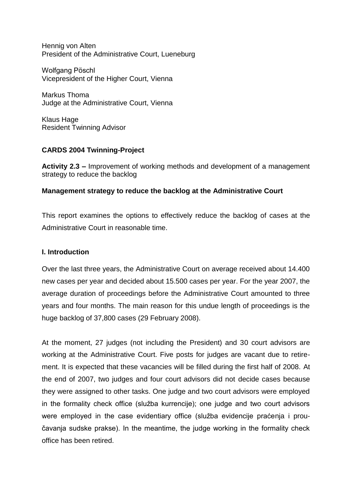Hennig von Alten President of the Administrative Court, Lueneburg

Wolfgang Pöschl Vicepresident of the Higher Court, Vienna

Markus Thoma Judge at the Administrative Court, Vienna

Klaus Hage Resident Twinning Advisor

# **CARDS 2004 Twinning-Project**

**Activity 2.3 –** Improvement of working methods and development of a management strategy to reduce the backlog

# **Management strategy to reduce the backlog at the Administrative Court**

This report examines the options to effectively reduce the backlog of cases at the Administrative Court in reasonable time.

## **I. Introduction**

Over the last three years, the Administrative Court on average received about 14.400 new cases per year and decided about 15.500 cases per year. For the year 2007, the average duration of proceedings before the Administrative Court amounted to three years and four months. The main reason for this undue length of proceedings is the huge backlog of 37,800 cases (29 February 2008).

At the moment, 27 judges (not including the President) and 30 court advisors are working at the Administrative Court. Five posts for judges are vacant due to retirement. It is expected that these vacancies will be filled during the first half of 2008. At the end of 2007, two judges and four court advisors did not decide cases because they were assigned to other tasks. One judge and two court advisors were employed in the formality check office (služba kurrencije); one judge and two court advisors were employed in the case evidentiary office (služba evidencije praćenja i proučavanja sudske prakse). In the meantime, the judge working in the formality check office has been retired.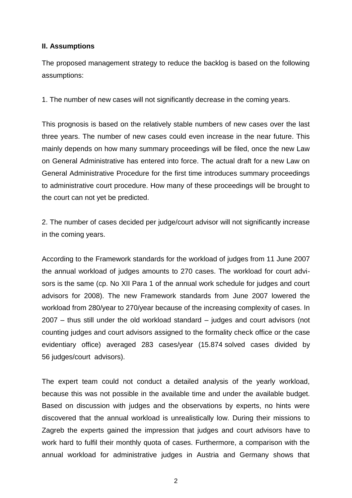## **II. Assumptions**

The proposed management strategy to reduce the backlog is based on the following assumptions:

1. The number of new cases will not significantly decrease in the coming years.

This prognosis is based on the relatively stable numbers of new cases over the last three years. The number of new cases could even increase in the near future. This mainly depends on how many summary proceedings will be filed, once the new Law on General Administrative has entered into force. The actual draft for a new Law on General Administrative Procedure for the first time introduces summary proceedings to administrative court procedure. How many of these proceedings will be brought to the court can not yet be predicted.

2. The number of cases decided per judge/court advisor will not significantly increase in the coming years.

According to the Framework standards for the workload of judges from 11 June 2007 the annual workload of judges amounts to 270 cases. The workload for court advisors is the same (cp. No XII Para 1 of the annual work schedule for judges and court advisors for 2008). The new Framework standards from June 2007 lowered the workload from 280/year to 270/year because of the increasing complexity of cases. In 2007 – thus still under the old workload standard – judges and court advisors (not counting judges and court advisors assigned to the formality check office or the case evidentiary office) averaged 283 cases/year (15.874 solved cases divided by 56 judges/court advisors).

The expert team could not conduct a detailed analysis of the yearly workload, because this was not possible in the available time and under the available budget. Based on discussion with judges and the observations by experts, no hints were discovered that the annual workload is unrealistically low. During their missions to Zagreb the experts gained the impression that judges and court advisors have to work hard to fulfil their monthly quota of cases. Furthermore, a comparison with the annual workload for administrative judges in Austria and Germany shows that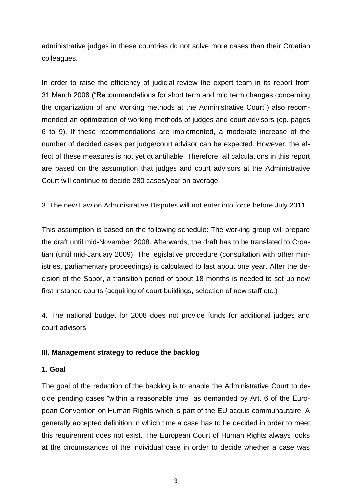administrative judges in these countries do not solve more cases than their Croatian colleagues.

In order to raise the efficiency of judicial review the expert team in its report from 31 March 2008 ("Recommendations for short term and mid term changes concerning the organization of and working methods at the Administrative Court") also recommended an optimization of working methods of judges and court advisors (cp. pages 6 to 9). If these recommendations are implemented, a moderate increase of the number of decided cases per judge/court advisor can be expected. However, the effect of these measures is not yet quantifiable. Therefore, all calculations in this report are based on the assumption that judges and court advisors at the Administrative Court will continue to decide 280 cases/year on average.

3. The new Law on Administrative Disputes will not enter into force before July 2011.

This assumption is based on the following schedule: The working group will prepare the draft until mid-November 2008. Afterwards, the draft has to be translated to Croatian (until mid-January 2009). The legislative procedure (consultation with other ministries, parliamentary proceedings) is calculated to last about one year. After the decision of the Sabor, a transition period of about 18 months is needed to set up new first instance courts (acquiring of court buildings, selection of new staff etc.)

4. The national budget for 2008 does not provide funds for additional judges and court advisors.

# **III. Management strategy to reduce the backlog**

## **1. Goal**

The goal of the reduction of the backlog is to enable the Administrative Court to decide pending cases "within a reasonable time" as demanded by Art. 6 of the European Convention on Human Rights which is part of the EU acquis communautaire. A generally accepted definition in which time a case has to be decided in order to meet this requirement does not exist. The European Court of Human Rights always looks at the circumstances of the individual case in order to decide whether a case was

3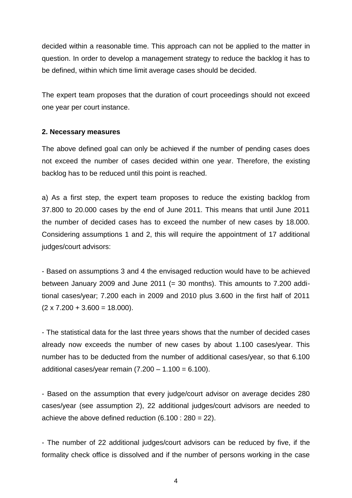decided within a reasonable time. This approach can not be applied to the matter in question. In order to develop a management strategy to reduce the backlog it has to be defined, within which time limit average cases should be decided.

The expert team proposes that the duration of court proceedings should not exceed one year per court instance.

## **2. Necessary measures**

The above defined goal can only be achieved if the number of pending cases does not exceed the number of cases decided within one year. Therefore, the existing backlog has to be reduced until this point is reached.

a) As a first step, the expert team proposes to reduce the existing backlog from 37.800 to 20.000 cases by the end of June 2011. This means that until June 2011 the number of decided cases has to exceed the number of new cases by 18.000. Considering assumptions 1 and 2, this will require the appointment of 17 additional judges/court advisors:

- Based on assumptions 3 and 4 the envisaged reduction would have to be achieved between January 2009 and June 2011 (= 30 months). This amounts to 7.200 additional cases/year; 7.200 each in 2009 and 2010 plus 3.600 in the first half of 2011  $(2 \times 7.200 + 3.600 = 18.000)$ .

- The statistical data for the last three years shows that the number of decided cases already now exceeds the number of new cases by about 1.100 cases/year. This number has to be deducted from the number of additional cases/year, so that 6.100 additional cases/year remain  $(7.200 - 1.100 = 6.100)$ .

- Based on the assumption that every judge/court advisor on average decides 280 cases/year (see assumption 2), 22 additional judges/court advisors are needed to achieve the above defined reduction  $(6.100 : 280 = 22)$ .

- The number of 22 additional judges/court advisors can be reduced by five, if the formality check office is dissolved and if the number of persons working in the case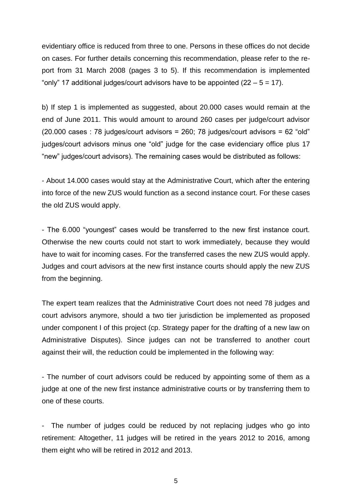evidentiary office is reduced from three to one. Persons in these offices do not decide on cases. For further details concerning this recommendation, please refer to the report from 31 March 2008 (pages 3 to 5). If this recommendation is implemented "only" 17 additional judges/court advisors have to be appointed  $(22 - 5 = 17)$ .

b) If step 1 is implemented as suggested, about 20.000 cases would remain at the end of June 2011. This would amount to around 260 cases per judge/court advisor (20.000 cases : 78 judges/court advisors = 260; 78 judges/court advisors = 62 "old" judges/court advisors minus one "old" judge for the case evidenciary office plus 17 "new" judges/court advisors). The remaining cases would be distributed as follows:

- About 14.000 cases would stay at the Administrative Court, which after the entering into force of the new ZUS would function as a second instance court. For these cases the old ZUS would apply.

- The 6.000 "youngest" cases would be transferred to the new first instance court. Otherwise the new courts could not start to work immediately, because they would have to wait for incoming cases. For the transferred cases the new ZUS would apply. Judges and court advisors at the new first instance courts should apply the new ZUS from the beginning.

The expert team realizes that the Administrative Court does not need 78 judges and court advisors anymore, should a two tier jurisdiction be implemented as proposed under component I of this project (cp. Strategy paper for the drafting of a new law on Administrative Disputes). Since judges can not be transferred to another court against their will, the reduction could be implemented in the following way:

- The number of court advisors could be reduced by appointing some of them as a judge at one of the new first instance administrative courts or by transferring them to one of these courts.

The number of judges could be reduced by not replacing judges who go into retirement: Altogether, 11 judges will be retired in the years 2012 to 2016, among them eight who will be retired in 2012 and 2013.

5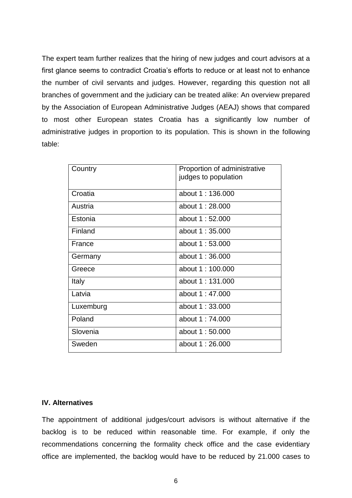The expert team further realizes that the hiring of new judges and court advisors at a first glance seems to contradict Croatia's efforts to reduce or at least not to enhance the number of civil servants and judges. However, regarding this question not all branches of government and the judiciary can be treated alike: An overview prepared by the Association of European Administrative Judges (AEAJ) shows that compared to most other European states Croatia has a significantly low number of administrative judges in proportion to its population. This is shown in the following table:

| Country   | Proportion of administrative |
|-----------|------------------------------|
|           | judges to population         |
|           |                              |
|           |                              |
| Croatia   | about 1:136,000              |
| Austria   | about 1:28,000               |
|           |                              |
| Estonia   | about 1:52,000               |
|           |                              |
| Finland   | about 1:35,000               |
| France    | about 1:53,000               |
|           |                              |
| Germany   | about 1:36,000               |
|           |                              |
| Greece    | about 1:100,000              |
|           |                              |
| Italy     | about 1:131.000              |
| Latvia    | about 1:47.000               |
|           |                              |
| Luxemburg | about 1:33,000               |
|           |                              |
| Poland    | about 1:74,000               |
| Slovenia  | about 1:50,000               |
|           |                              |
| Sweden    | about 1:26,000               |
|           |                              |

#### **IV. Alternatives**

The appointment of additional judges/court advisors is without alternative if the backlog is to be reduced within reasonable time. For example, if only the recommendations concerning the formality check office and the case evidentiary office are implemented, the backlog would have to be reduced by 21.000 cases to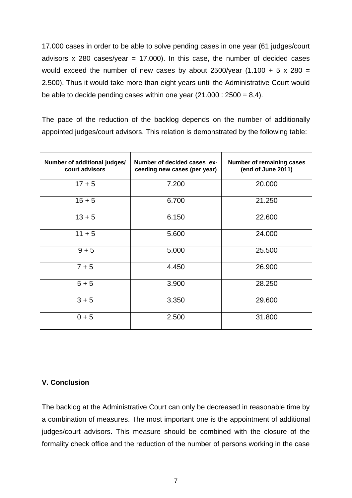17.000 cases in order to be able to solve pending cases in one year (61 judges/court advisors  $x$  280 cases/year = 17.000). In this case, the number of decided cases would exceed the number of new cases by about 2500/year  $(1.100 + 5 \times 280 =$ 2.500). Thus it would take more than eight years until the Administrative Court would be able to decide pending cases within one year  $(21.000 : 2500 = 8,4)$ .

The pace of the reduction of the backlog depends on the number of additionally appointed judges/court advisors. This relation is demonstrated by the following table:

| Number of additional judges/<br>court advisors | Number of decided cases ex-<br>ceeding new cases (per year) | <b>Number of remaining cases</b><br>(end of June 2011) |
|------------------------------------------------|-------------------------------------------------------------|--------------------------------------------------------|
| $17 + 5$                                       | 7.200                                                       | 20.000                                                 |
| $15 + 5$                                       | 6.700                                                       | 21.250                                                 |
| $13 + 5$                                       | 6.150                                                       | 22.600                                                 |
| $11 + 5$                                       | 5.600                                                       | 24.000                                                 |
| $9 + 5$                                        | 5.000                                                       | 25.500                                                 |
| $7 + 5$                                        | 4.450                                                       | 26.900                                                 |
| $5 + 5$                                        | 3.900                                                       | 28.250                                                 |
| $3 + 5$                                        | 3.350                                                       | 29.600                                                 |
| $0 + 5$                                        | 2.500                                                       | 31.800                                                 |

## **V. Conclusion**

The backlog at the Administrative Court can only be decreased in reasonable time by a combination of measures. The most important one is the appointment of additional judges/court advisors. This measure should be combined with the closure of the formality check office and the reduction of the number of persons working in the case